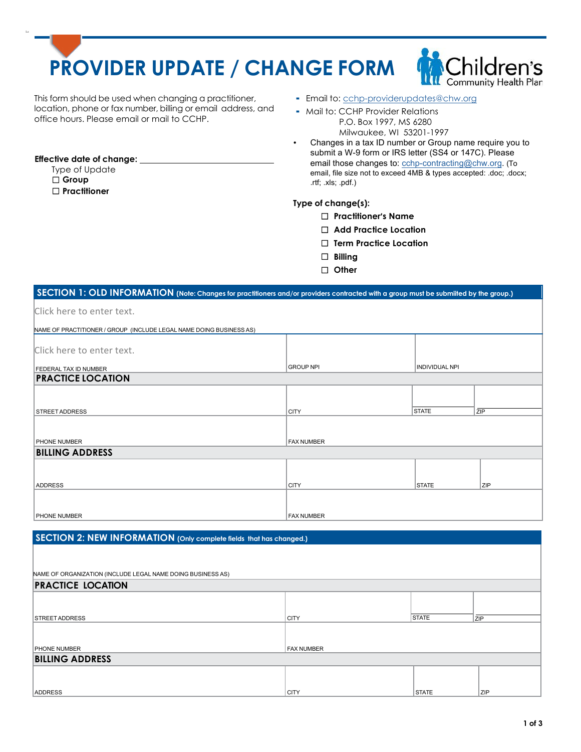# **PROVIDER UPDATE / CHANGE FORM**



This form should be used when changing a practitioner, location, phone or fax number, billing or email address, and office hours. Please email or mail to CCHP.

- **-** Email to: cchp-providerupdates@chw.org
- Mail to: CCHP Provider Relations P.O. Box 1997, MS 6280 Milwaukee, WI 53201-1997
- Changes in a tax ID number or Group name require you to submit a W-9 form or IRS letter (SS4 or 147C). Please email those changes to: cchp-contracting@chw.org. (To email, file size not to exceed 4MB & types accepted: .doc; .docx; .rtf; .xls; .pdf.)

### **Type of change(s):**

- ☐ **Practitioner's Name**
- ☐ **Add Practice Location**
- ☐ **Term Practice Location**
- ☐ **Billing**
- ☐ **Other**

# **SECTION 1: OLD INFORMATION (Note: Changes for practitioners and/or providers contracted with a group must be submiited by the group.)**

| Click here to enter text. |  |
|---------------------------|--|
|---------------------------|--|

**Effective date of change:** Type of Update ☐ **Group** ☐ **Practitioner**

Lo

| NAME OF PRACTITIONER / GROUP (INCLUDE LEGAL NAME DOING BUSINESS AS) |                   |                       |     |  |
|---------------------------------------------------------------------|-------------------|-----------------------|-----|--|
| Click here to enter text.                                           |                   |                       |     |  |
| <b>FEDERAL TAX ID NUMBER</b>                                        | <b>GROUP NPI</b>  | <b>INDIVIDUAL NPI</b> |     |  |
| <b>PRACTICE LOCATION</b>                                            |                   |                       |     |  |
|                                                                     |                   |                       |     |  |
| <b>STREET ADDRESS</b>                                               | <b>CITY</b>       | <b>STATE</b>          | ZIP |  |
|                                                                     |                   |                       |     |  |
| PHONE NUMBER                                                        | <b>FAX NUMBER</b> |                       |     |  |
| <b>BILLING ADDRESS</b>                                              |                   |                       |     |  |
|                                                                     |                   |                       |     |  |
| <b>ADDRESS</b>                                                      | <b>CITY</b>       | <b>STATE</b>          | ZIP |  |
|                                                                     |                   |                       |     |  |
| <b>PHONE NUMBER</b>                                                 | <b>FAX NUMBER</b> |                       |     |  |

## **SECTION 2: NEW INFORMATION (Only complete fields that has changed.)**

| NAME OF ORGANIZATION (INCLUDE LEGAL NAME DOING BUSINESS AS)<br><b>PRACTICE LOCATION</b> |                   |              |            |  |  |
|-----------------------------------------------------------------------------------------|-------------------|--------------|------------|--|--|
|                                                                                         |                   |              |            |  |  |
| <b>STREET ADDRESS</b>                                                                   | <b>CITY</b>       | <b>STATE</b> | ZIP        |  |  |
|                                                                                         |                   |              |            |  |  |
| <b>PHONE NUMBER</b>                                                                     | <b>FAX NUMBER</b> |              |            |  |  |
| <b>BILLING ADDRESS</b>                                                                  |                   |              |            |  |  |
|                                                                                         |                   |              |            |  |  |
| <b>ADDRESS</b>                                                                          | <b>CITY</b>       | <b>STATE</b> | <b>ZIP</b> |  |  |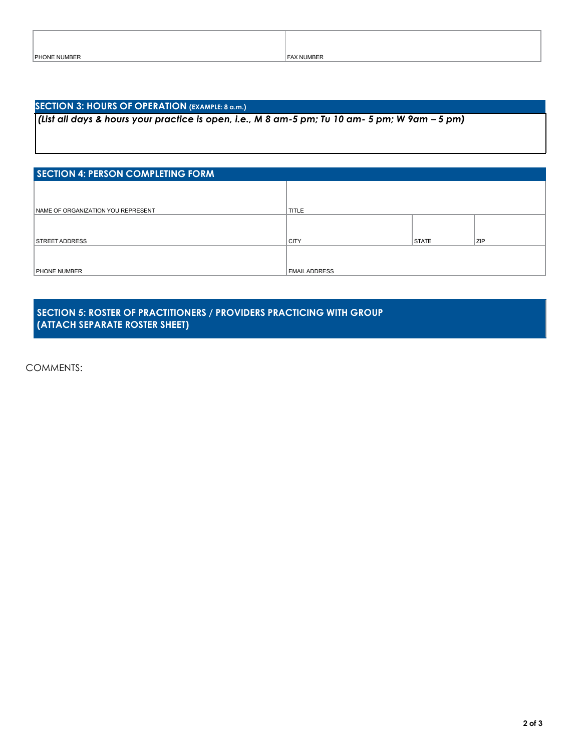### **SECTION 3: HOURS OF OPERATION (EXAMPLE: 8 a.m.)**

(List all days & hours your practice is open, i.e., M 8 am-5 pm; Tu 10 am- 5 pm; W 9am - 5 pm)

| <b>SECTION 4: PERSON COMPLETING FORM</b> |                      |              |     |  |
|------------------------------------------|----------------------|--------------|-----|--|
|                                          |                      |              |     |  |
| NAME OF ORGANIZATION YOU REPRESENT       | TITLE                |              |     |  |
|                                          |                      |              |     |  |
| <b>STREET ADDRESS</b>                    | <b>CITY</b>          | <b>STATE</b> | ZIP |  |
|                                          |                      |              |     |  |
| <b>PHONE NUMBER</b>                      | <b>EMAIL ADDRESS</b> |              |     |  |

## **SECTION 5: ROSTER OF PRACTITIONERS / PROVIDERS PRACTICING WITH GROUP (ATTACH SEPARATE ROSTER SHEET)**

COMMENTS: